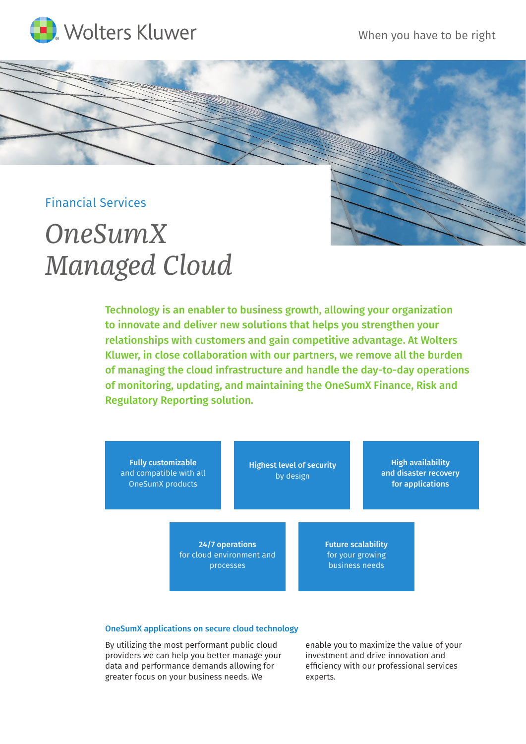

## Financial Services

# *OneSumX Managed Cloud*

Technology is an enabler to business growth, allowing your organization to innovate and deliver new solutions that helps you strengthen your relationships with customers and gain competitive advantage. At Wolters Kluwer, in close collaboration with our partners, we remove all the burden of managing the cloud infrastructure and handle the day-to-day operations of monitoring, updating, and maintaining the OneSumX Finance, Risk and Regulatory Reporting solution.



#### OneSumX applications on secure cloud technology

By utilizing the most performant public cloud providers we can help you better manage your data and performance demands allowing for greater focus on your business needs. We

enable you to maximize the value of your investment and drive innovation and efficiency with our professional services experts.